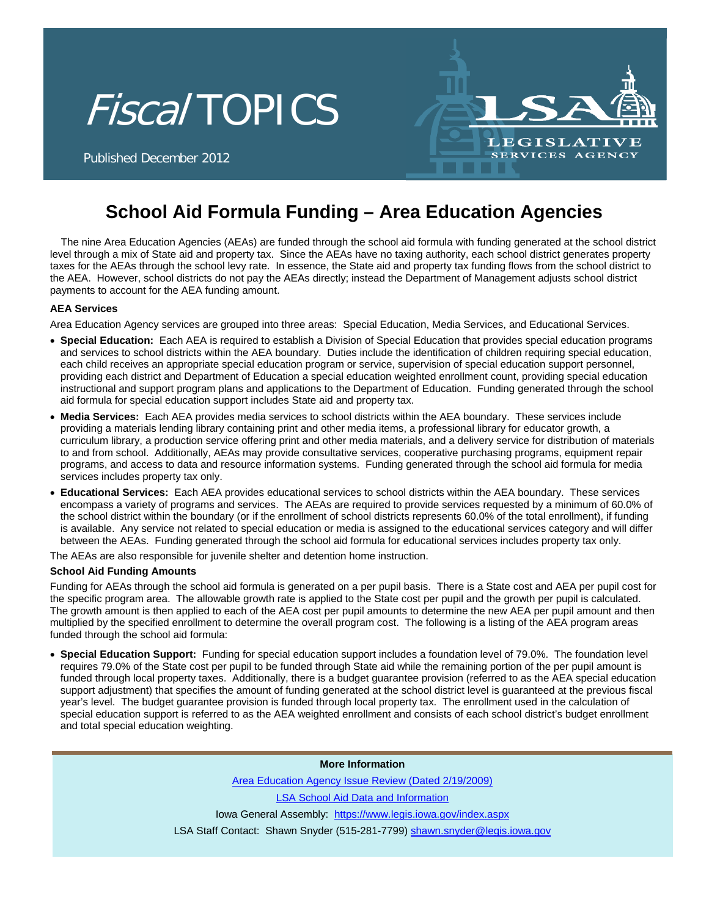



Published December 2012

# **School Aid Formula Funding – Area Education Agencies**

The nine Area Education Agencies (AEAs) are funded through the school aid formula with funding generated at the school district level through a mix of State aid and property tax. Since the AEAs have no taxing authority, each school district generates property taxes for the AEAs through the school levy rate. In essence, the State aid and property tax funding flows from the school district to the AEA. However, school districts do not pay the AEAs directly; instead the Department of Management adjusts school district payments to account for the AEA funding amount.

#### **AEA Services**

Area Education Agency services are grouped into three areas: Special Education, Media Services, and Educational Services.

- **Special Education:** Each AEA is required to establish a Division of Special Education that provides special education programs and services to school districts within the AEA boundary. Duties include the identification of children requiring special education, each child receives an appropriate special education program or service, supervision of special education support personnel, providing each district and Department of Education a special education weighted enrollment count, providing special education instructional and support program plans and applications to the Department of Education. Funding generated through the school aid formula for special education support includes State aid and property tax.
- **Media Services:** Each AEA provides media services to school districts within the AEA boundary. These services include providing a materials lending library containing print and other media items, a professional library for educator growth, a curriculum library, a production service offering print and other media materials, and a delivery service for distribution of materials to and from school. Additionally, AEAs may provide consultative services, cooperative purchasing programs, equipment repair programs, and access to data and resource information systems. Funding generated through the school aid formula for media services includes property tax only.
- **Educational Services:** Each AEA provides educational services to school districts within the AEA boundary. These services encompass a variety of programs and services. The AEAs are required to provide services requested by a minimum of 60.0% of the school district within the boundary (or if the enrollment of school districts represents 60.0% of the total enrollment), if funding is available. Any service not related to special education or media is assigned to the educational services category and will differ between the AEAs. Funding generated through the school aid formula for educational services includes property tax only.

The AEAs are also responsible for juvenile shelter and detention home instruction.

#### **School Aid Funding Amounts**

Funding for AEAs through the school aid formula is generated on a per pupil basis. There is a State cost and AEA per pupil cost for the specific program area. The allowable growth rate is applied to the State cost per pupil and the growth per pupil is calculated. The growth amount is then applied to each of the AEA cost per pupil amounts to determine the new AEA per pupil amount and then multiplied by the specified enrollment to determine the overall program cost. The following is a listing of the AEA program areas funded through the school aid formula:

• **Special Education Support:** Funding for special education support includes a foundation level of 79.0%. The foundation level requires 79.0% of the State cost per pupil to be funded through State aid while the remaining portion of the per pupil amount is funded through local property taxes. Additionally, there is a budget guarantee provision (referred to as the AEA special education support adjustment) that specifies the amount of funding generated at the school district level is guaranteed at the previous fiscal year's level. The budget guarantee provision is funded through local property tax. The enrollment used in the calculation of special education support is referred to as the AEA weighted enrollment and consists of each school district's budget enrollment and total special education weighting.

### **More Information**

[Area Education Agency Issue Review \(Dated 2/19/2009\)](https://www.legis.iowa.gov/LSAReports/issueReviews.aspx)

[LSA School Aid Data and Information](https://www.legis.iowa.gov/LSAReports/k12Education.aspx)

Iowa General Assembly: <https://www.legis.iowa.gov/index.aspx>

LSA Staff Contact: Shawn Snyder (515-281-7799) [shawn.snyder@legis.iowa.gov](mailto:shawn.snyder@legis.iowa.gov)